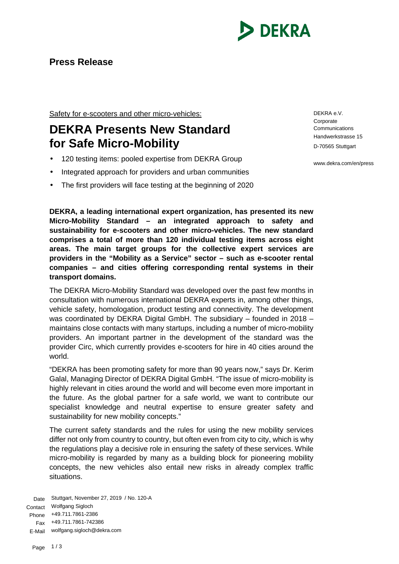

Safety for e-scooters and other micro-vehicles:

## **DEKRA Presents New Standard for Safe Micro-Mobility**

- 120 testing items: pooled expertise from DEKRA Group
- Integrated approach for providers and urban communities
- The first providers will face testing at the beginning of 2020

**DEKRA, a leading international expert organization, has presented its new Micro-Mobility Standard – an integrated approach to safety and sustainability for e-scooters and other micro-vehicles. The new standard comprises a total of more than 120 individual testing items across eight areas. The main target groups for the collective expert services are providers in the "Mobility as a Service" sector – such as e-scooter rental companies – and cities offering corresponding rental systems in their transport domains.**

The DEKRA Micro-Mobility Standard was developed over the past few months in consultation with numerous international DEKRA experts in, among other things, vehicle safety, homologation, product testing and connectivity. The development was coordinated by DEKRA Digital GmbH. The subsidiary – founded in 2018 – maintains close contacts with many startups, including a number of micro-mobility providers. An important partner in the development of the standard was the provider Circ, which currently provides e-scooters for hire in 40 cities around the world.

"DEKRA has been promoting safety for more than 90 years now," says Dr. Kerim Galal, Managing Director of DEKRA Digital GmbH. "The issue of micro-mobility is highly relevant in cities around the world and will become even more important in the future. As the global partner for a safe world, we want to contribute our specialist knowledge and neutral expertise to ensure greater safety and sustainability for new mobility concepts."

The current safety standards and the rules for using the new mobility services differ not only from country to country, but often even from city to city, which is why the regulations play a decisive role in ensuring the safety of these services. While micro-mobility is regarded by many as a building block for pioneering mobility concepts, the new vehicles also entail new risks in already complex traffic situations.

Date Stuttgart, November 27, 2019 / No. 120-A Contact Wolfgang Sigloch Phone +49.711.7861-2386 Fax +49.711.7861-742386 E-Mail wolfgang.sigloch@dekra.com

DEKRA e.V. **Corporate Communications** Handwerkstrasse 15 D-70565 Stuttgart

www.dekra.com/en/press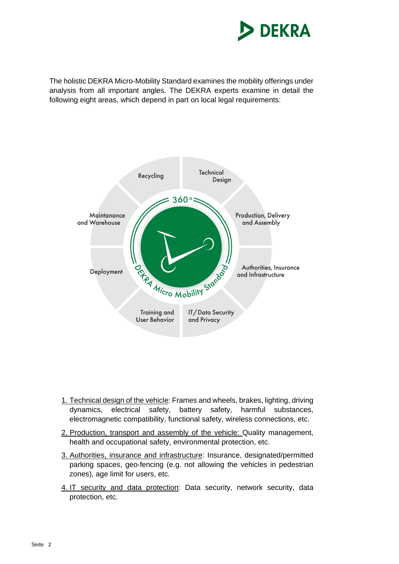

The holistic DEKRA Micro-Mobility Standard examines the mobility offerings under analysis from all important angles. The DEKRA experts examine in detail the following eight areas, which depend in part on local legal requirements:



- 1. Technical design of the vehicle: Frames and wheels, brakes, lighting, driving dynamics, electrical safety, battery safety, harmful substances, electromagnetic compatibility, functional safety, wireless connections, etc.
- 2. Production, transport and assembly of the vehicle: Quality management, health and occupational safety, environmental protection, etc.
- 3. Authorities, insurance and infrastructure: Insurance, designated/permitted parking spaces, geo-fencing (e.g. not allowing the vehicles in pedestrian zones), age limit for users, etc.
- 4. IT security and data protection: Data security, network security, data protection, etc.